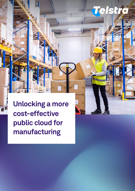# S

**Unlocking a more cost-effective public cloud for manufacturing**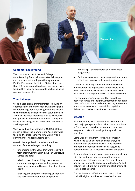

### **Customer background**

The company is one of the world's largest manufacturing firms, with a substantial footprint and thousands of employees throughout Asia-Pacific, Europe and the United States. It has more than 150 facilities worldwide and is a leader in its field, with a focus on sustainable packaging using recyclable materials.

# **The challenge**

Cloud-based digital transformation is driving an enormous amount of innovation within the global manufacturing industry, as organisations realise the benefits and efficiencies that cloud provides. Although, as these footprints start to swell, they can quickly become complicated and costly, with many firms losing visibility over how their stacks are integrated.

With a significant investment of US\$225,000 per month in cloud, the manufacturing company was facing difficulties in maintaining visibility and performance, whilst managing cost.

Overall, the organisation was hampered by a number of core challenges, including

- 1. Understanding the value they were receiving from their investments in cloud infrastructure across the stack
- 2. A lack of real-time visibility over how much compute, storage and networking resources were being consumed by each line of business (LOB)
- 3. Ensuring the company is meeting all industry and government-mandated compliance

and data privacy standards across multiple geographies

4. Optimising costs and managing cloud resources effectively across a multi-cloud environment

This lack of visibility across the board also made it difficult for the organisation to track ROIs on its cloud investments, which was critically important for a manufacturing company of this size and scale.

The company sought a partner that could help deliver accurate and insightful information about its cloud infrastructure in real-time, helping it to reduce unnecessary costs and reinvest this capital and deliver improved services for its customers.

# **Solution**

After consulting with the customer to understand their major pain points, Telstra introduced a solution – CloudHealth to enable customer to track cloud usage and costs with intelligent insights in near real-time.

Using CloudHealth from Telstra, the company was able to build a centralised data analytics platform that provided analysis, trend reporting and recommendations on the cost, usage and performance of all its cloud services in one place.

As a first step, Telstra's cloud experts worked closely with the customer to take stock of their cloud environment, gathering key insights into all core and critical elements across compute, storage, and networking to build out a profile and start linking all related data streams.

The result was a unified platform that provides critical insights into the customers' entire cloud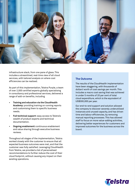

infrastructure stack, from one pane of glass. This includes a streamlined, real-time view of all cloud services, with tailored analysis on where cost efficiencies can be realised.

As part of this implementation, Telstra Purple, a team of over 2,000 certified experts globally specialising in consultancy and professional services, delivered a range of add-on benefits, including

- **• Training and education via the CloudHealth Academy:** providing training on running reports and customising them to specific business needs.
- **• Full technical support:** easy access to Telstra's wealth of product experts and technical documentation.
- **• Ongoing enablement:** continuous enablement and value sharing through executive business reviews.

Throughout all stages of the implementation, Telstra worked closely with the customer to ensure that all expected business outcomes were met, and that the customer was fully satisfied. Leveraging CloudHealth from Telstra, we provided a list of personalised recommendations to further reduce the cost of their cloud footprint, without causing any impact on their existing operations.

### **The Outcome**

The results of the CloudHealth implementation have been staggering, with thousands of dollars' worth of cost savings per month. This includes a macro cost saving that was achieved in under 5 months of 20 per cent of total cloud expenditure, which is the equivalent of US\$300,000 per year.

Our end-to-end support and solution allowed the company to discover severely underutilised instances and unused capacity, and has driven time and labour efficiencies, by removing manual reporting processes. This has allowed staff to focus on more value-adding activities, delivering better experiences for customers and improved outcomes for the business across the board.